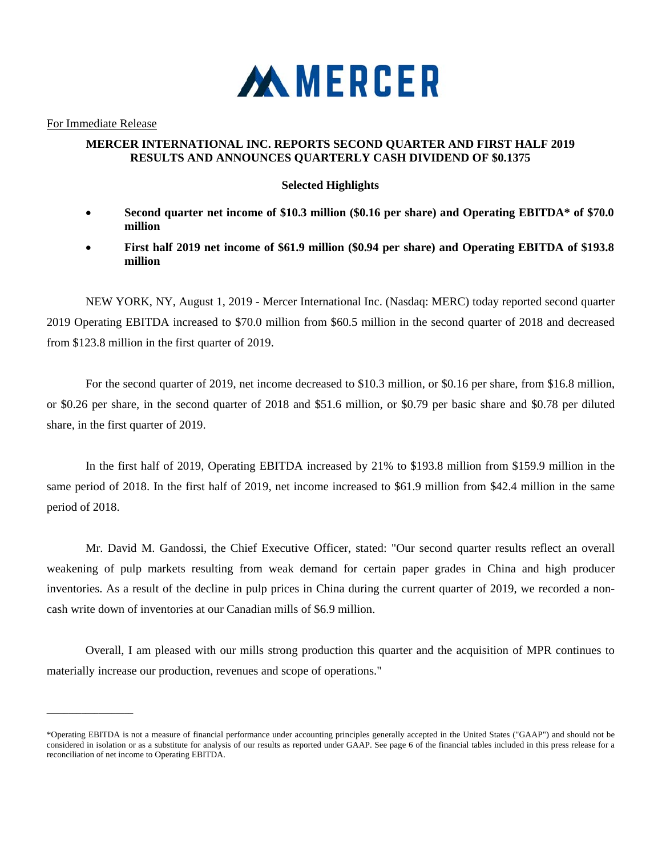

For Immediate Release

 $\mathcal{L}=\mathcal{L}=\mathcal{L}=\mathcal{L}=\mathcal{L}=\mathcal{L}=\mathcal{L}=\mathcal{L}=\mathcal{L}=\mathcal{L}=\mathcal{L}=\mathcal{L}=\mathcal{L}=\mathcal{L}=\mathcal{L}=\mathcal{L}=\mathcal{L}=\mathcal{L}=\mathcal{L}=\mathcal{L}=\mathcal{L}=\mathcal{L}=\mathcal{L}=\mathcal{L}=\mathcal{L}=\mathcal{L}=\mathcal{L}=\mathcal{L}=\mathcal{L}=\mathcal{L}=\mathcal{L}=\mathcal{L}=\mathcal{L}=\mathcal{L}=\mathcal{L}=\mathcal{L}=\mathcal{$ 

## **MERCER INTERNATIONAL INC. REPORTS SECOND QUARTER AND FIRST HALF 2019 RESULTS AND ANNOUNCES QUARTERLY CASH DIVIDEND OF \$0.1375**

## **Selected Highlights**

- **Second quarter net income of \$10.3 million (\$0.16 per share) and Operating EBITDA\* of \$70.0 million**
- **First half 2019 net income of \$61.9 million (\$0.94 per share) and Operating EBITDA of \$193.8 million**

NEW YORK, NY, August 1, 2019 - Mercer International Inc. (Nasdaq: MERC) today reported second quarter 2019 Operating EBITDA increased to \$70.0 million from \$60.5 million in the second quarter of 2018 and decreased from \$123.8 million in the first quarter of 2019.

For the second quarter of 2019, net income decreased to \$10.3 million, or \$0.16 per share, from \$16.8 million, or \$0.26 per share, in the second quarter of 2018 and \$51.6 million, or \$0.79 per basic share and \$0.78 per diluted share, in the first quarter of 2019.

In the first half of 2019, Operating EBITDA increased by 21% to \$193.8 million from \$159.9 million in the same period of 2018. In the first half of 2019, net income increased to \$61.9 million from \$42.4 million in the same period of 2018.

Mr. David M. Gandossi, the Chief Executive Officer, stated: "Our second quarter results reflect an overall weakening of pulp markets resulting from weak demand for certain paper grades in China and high producer inventories. As a result of the decline in pulp prices in China during the current quarter of 2019, we recorded a noncash write down of inventories at our Canadian mills of \$6.9 million.

Overall, I am pleased with our mills strong production this quarter and the acquisition of MPR continues to materially increase our production, revenues and scope of operations."

<sup>\*</sup>Operating EBITDA is not a measure of financial performance under accounting principles generally accepted in the United States ("GAAP") and should not be considered in isolation or as a substitute for analysis of our results as reported under GAAP. See page 6 of the financial tables included in this press release for a reconciliation of net income to Operating EBITDA.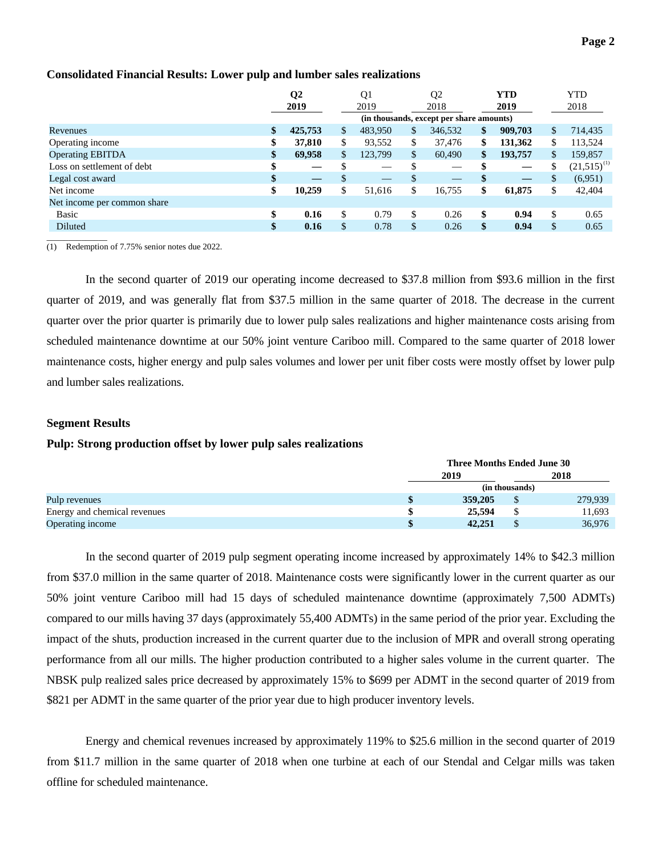## **Consolidated Financial Results: Lower pulp and lumber sales realizations**

|                             |               | Q <sub>2</sub><br>2019 |     | Q <sub>1</sub><br>2019   |    | Q <sub>2</sub><br>2018                   |    | <b>YTD</b><br>2019 |              | <b>YTD</b><br>2018 |
|-----------------------------|---------------|------------------------|-----|--------------------------|----|------------------------------------------|----|--------------------|--------------|--------------------|
|                             |               |                        |     |                          |    | (in thousands, except per share amounts) |    |                    |              |                    |
| Revenues                    | $\mathbf{\$}$ | 425,753                | \$  | 483.950                  | \$ | 346,532                                  | \$ | 909,703            | \$           | 714,435            |
| Operating income            | \$            | 37,810                 | \$  | 93,552                   | \$ | 37,476                                   | \$ | 131,362            | \$           | 113,524            |
| <b>Operating EBITDA</b>     | \$            | 69,958                 | \$. | 123,799                  | \$ | 60,490                                   | \$ | 193,757            | $\mathbb{S}$ | 159,857            |
| Loss on settlement of debt  | \$            |                        |     |                          | \$ |                                          |    |                    | \$           | $(21,515)^{(1)}$   |
| Legal cost award            | \$            | —                      | \$  | $\overline{\phantom{a}}$ | \$ |                                          |    |                    | \$           | (6,951)            |
| Net income                  | \$            | 10,259                 | \$  | 51.616                   | \$ | 16,755                                   | \$ | 61,875             | \$           | 42,404             |
| Net income per common share |               |                        |     |                          |    |                                          |    |                    |              |                    |
| <b>Basic</b>                | \$            | 0.16                   | \$  | 0.79                     | \$ | 0.26                                     | \$ | 0.94               | \$           | 0.65               |
| Diluted                     | \$            | 0.16                   | \$  | 0.78                     | \$ | 0.26                                     | \$ | 0.94               | \$           | 0.65               |
|                             |               |                        |     |                          |    |                                          |    |                    |              |                    |

(1) Redemption of 7.75% senior notes due 2022.

In the second quarter of 2019 our operating income decreased to \$37.8 million from \$93.6 million in the first quarter of 2019, and was generally flat from \$37.5 million in the same quarter of 2018. The decrease in the current quarter over the prior quarter is primarily due to lower pulp sales realizations and higher maintenance costs arising from scheduled maintenance downtime at our 50% joint venture Cariboo mill. Compared to the same quarter of 2018 lower maintenance costs, higher energy and pulp sales volumes and lower per unit fiber costs were mostly offset by lower pulp and lumber sales realizations.

### **Segment Results**

### **Pulp: Strong production offset by lower pulp sales realizations**

|                              | <b>Three Months Ended June 30</b> |                |         |  |  |  |  |
|------------------------------|-----------------------------------|----------------|---------|--|--|--|--|
|                              | 2019                              |                | 2018    |  |  |  |  |
|                              |                                   | (in thousands) |         |  |  |  |  |
| Pulp revenues                | 359,205                           |                | 279,939 |  |  |  |  |
| Energy and chemical revenues | 25,594                            |                | 11,693  |  |  |  |  |
| Operating income             | 42,251                            |                | 36,976  |  |  |  |  |

In the second quarter of 2019 pulp segment operating income increased by approximately 14% to \$42.3 million from \$37.0 million in the same quarter of 2018. Maintenance costs were significantly lower in the current quarter as our 50% joint venture Cariboo mill had 15 days of scheduled maintenance downtime (approximately 7,500 ADMTs) compared to our mills having 37 days (approximately 55,400 ADMTs) in the same period of the prior year. Excluding the impact of the shuts, production increased in the current quarter due to the inclusion of MPR and overall strong operating performance from all our mills. The higher production contributed to a higher sales volume in the current quarter. The NBSK pulp realized sales price decreased by approximately 15% to \$699 per ADMT in the second quarter of 2019 from \$821 per ADMT in the same quarter of the prior year due to high producer inventory levels.

Energy and chemical revenues increased by approximately 119% to \$25.6 million in the second quarter of 2019 from \$11.7 million in the same quarter of 2018 when one turbine at each of our Stendal and Celgar mills was taken offline for scheduled maintenance.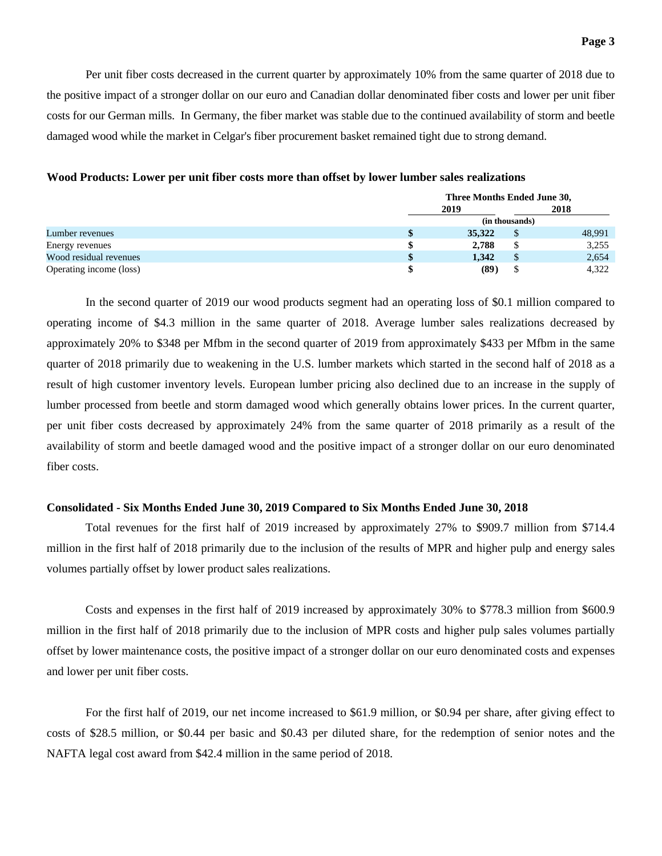Per unit fiber costs decreased in the current quarter by approximately 10% from the same quarter of 2018 due to the positive impact of a stronger dollar on our euro and Canadian dollar denominated fiber costs and lower per unit fiber costs for our German mills. In Germany, the fiber market was stable due to the continued availability of storm and beetle damaged wood while the market in Celgar's fiber procurement basket remained tight due to strong demand.

|                         |      | Three Months Ended June 30, |    |        |  |  |  |  |
|-------------------------|------|-----------------------------|----|--------|--|--|--|--|
|                         | 2019 |                             |    | 2018   |  |  |  |  |
|                         |      | (in thousands)              |    |        |  |  |  |  |
| Lumber revenues         |      | 35,322                      | \$ | 48,991 |  |  |  |  |
| Energy revenues         |      | 2.788                       | \$ | 3,255  |  |  |  |  |
| Wood residual revenues  | S    | 1.342                       | S  | 2,654  |  |  |  |  |
| Operating income (loss) |      | (89)                        |    | 4.322  |  |  |  |  |

### **Wood Products: Lower per unit fiber costs more than offset by lower lumber sales realizations**

In the second quarter of 2019 our wood products segment had an operating loss of \$0.1 million compared to operating income of \$4.3 million in the same quarter of 2018. Average lumber sales realizations decreased by approximately 20% to \$348 per Mfbm in the second quarter of 2019 from approximately \$433 per Mfbm in the same quarter of 2018 primarily due to weakening in the U.S. lumber markets which started in the second half of 2018 as a result of high customer inventory levels. European lumber pricing also declined due to an increase in the supply of lumber processed from beetle and storm damaged wood which generally obtains lower prices. In the current quarter, per unit fiber costs decreased by approximately 24% from the same quarter of 2018 primarily as a result of the availability of storm and beetle damaged wood and the positive impact of a stronger dollar on our euro denominated fiber costs.

### **Consolidated - Six Months Ended June 30, 2019 Compared to Six Months Ended June 30, 2018**

Total revenues for the first half of 2019 increased by approximately 27% to \$909.7 million from \$714.4 million in the first half of 2018 primarily due to the inclusion of the results of MPR and higher pulp and energy sales volumes partially offset by lower product sales realizations.

Costs and expenses in the first half of 2019 increased by approximately 30% to \$778.3 million from \$600.9 million in the first half of 2018 primarily due to the inclusion of MPR costs and higher pulp sales volumes partially offset by lower maintenance costs, the positive impact of a stronger dollar on our euro denominated costs and expenses and lower per unit fiber costs.

For the first half of 2019, our net income increased to \$61.9 million, or \$0.94 per share, after giving effect to costs of \$28.5 million, or \$0.44 per basic and \$0.43 per diluted share, for the redemption of senior notes and the NAFTA legal cost award from \$42.4 million in the same period of 2018.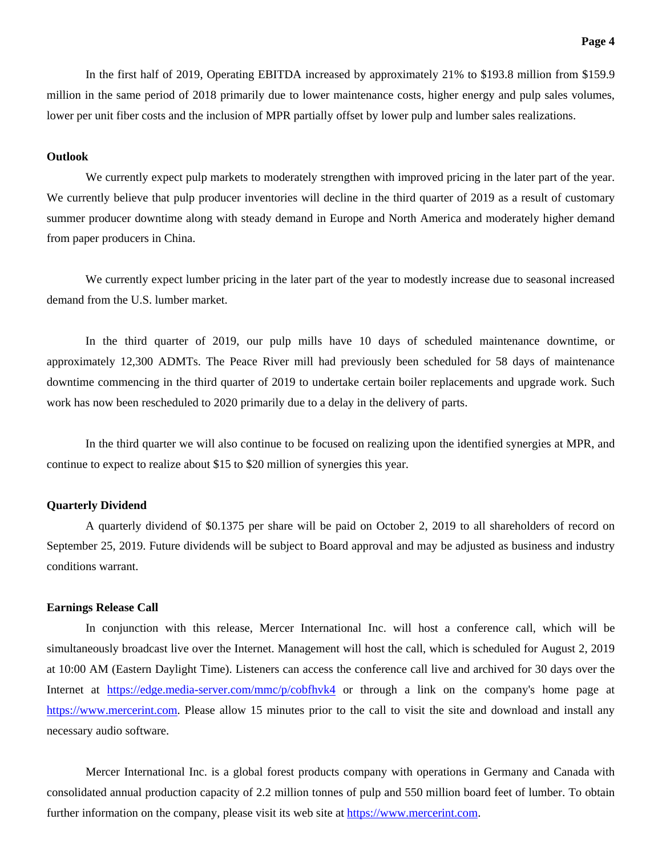In the first half of 2019, Operating EBITDA increased by approximately 21% to \$193.8 million from \$159.9 million in the same period of 2018 primarily due to lower maintenance costs, higher energy and pulp sales volumes, lower per unit fiber costs and the inclusion of MPR partially offset by lower pulp and lumber sales realizations.

### **Outlook**

We currently expect pulp markets to moderately strengthen with improved pricing in the later part of the year. We currently believe that pulp producer inventories will decline in the third quarter of 2019 as a result of customary summer producer downtime along with steady demand in Europe and North America and moderately higher demand from paper producers in China.

We currently expect lumber pricing in the later part of the year to modestly increase due to seasonal increased demand from the U.S. lumber market.

In the third quarter of 2019, our pulp mills have 10 days of scheduled maintenance downtime, or approximately 12,300 ADMTs. The Peace River mill had previously been scheduled for 58 days of maintenance downtime commencing in the third quarter of 2019 to undertake certain boiler replacements and upgrade work. Such work has now been rescheduled to 2020 primarily due to a delay in the delivery of parts.

In the third quarter we will also continue to be focused on realizing upon the identified synergies at MPR, and continue to expect to realize about \$15 to \$20 million of synergies this year.

### **Quarterly Dividend**

A quarterly dividend of \$0.1375 per share will be paid on October 2, 2019 to all shareholders of record on September 25, 2019. Future dividends will be subject to Board approval and may be adjusted as business and industry conditions warrant.

### **Earnings Release Call**

In conjunction with this release, Mercer International Inc. will host a conference call, which will be simultaneously broadcast live over the Internet. Management will host the call, which is scheduled for August 2, 2019 at 10:00 AM (Eastern Daylight Time). Listeners can access the conference call live and archived for 30 days over the Internet at https://edge.media-server.com/mmc/p/cobfhvk4 or through a link on the company's home page at https://www.mercerint.com. Please allow 15 minutes prior to the call to visit the site and download and install any necessary audio software.

Mercer International Inc. is a global forest products company with operations in Germany and Canada with consolidated annual production capacity of 2.2 million tonnes of pulp and 550 million board feet of lumber. To obtain further information on the company, please visit its web site at https://www.mercerint.com.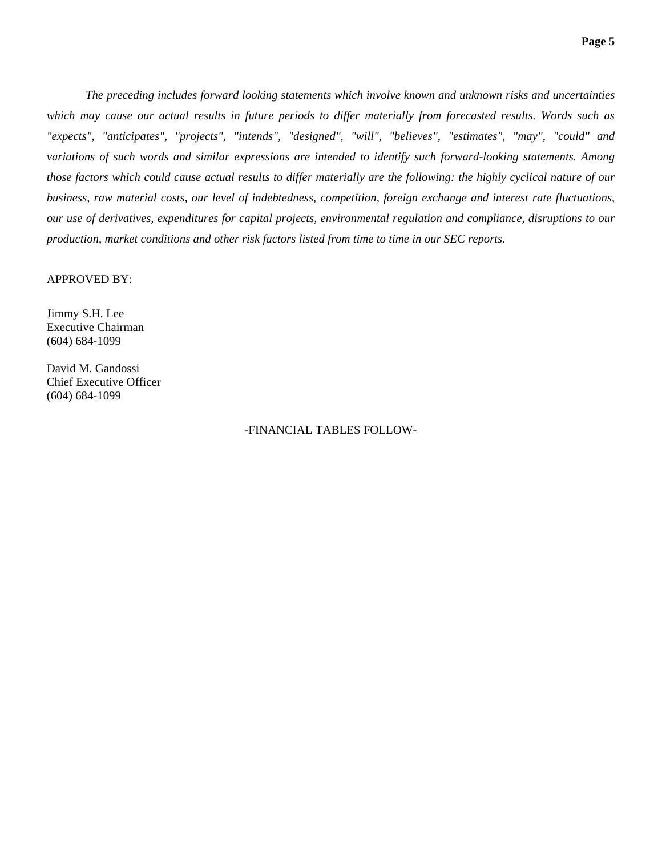*The preceding includes forward looking statements which involve known and unknown risks and uncertainties which may cause our actual results in future periods to differ materially from forecasted results. Words such as "expects", "anticipates", "projects", "intends", "designed", "will", "believes", "estimates", "may", "could" and variations of such words and similar expressions are intended to identify such forward-looking statements. Among those factors which could cause actual results to differ materially are the following: the highly cyclical nature of our business, raw material costs, our level of indebtedness, competition, foreign exchange and interest rate fluctuations, our use of derivatives, expenditures for capital projects, environmental regulation and compliance, disruptions to our production, market conditions and other risk factors listed from time to time in our SEC reports.* 

### APPROVED BY:

Jimmy S.H. Lee Executive Chairman (604) 684-1099

David M. Gandossi Chief Executive Officer (604) 684-1099

### -FINANCIAL TABLES FOLLOW-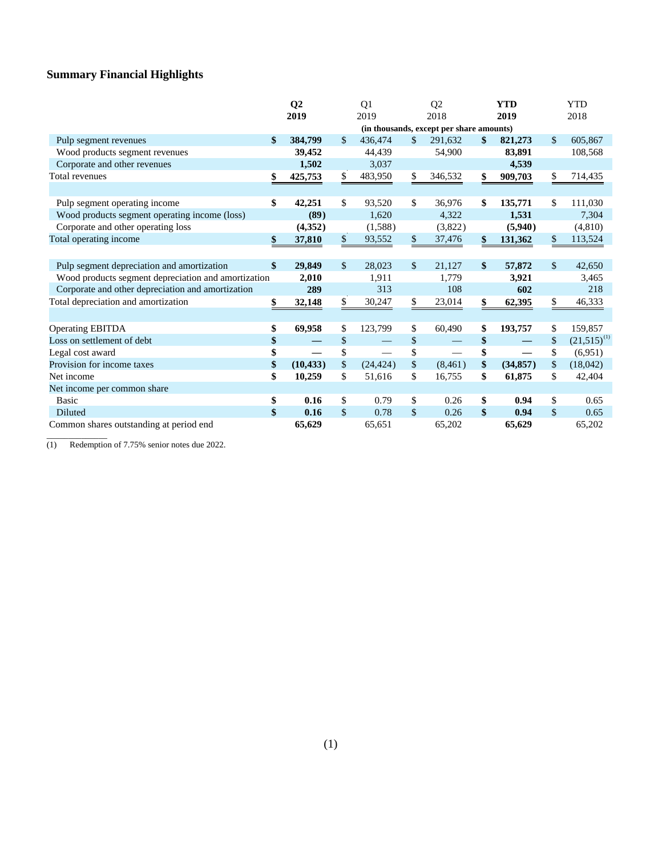# **Summary Financial Highlights**

|                                                     | Q <sub>2</sub><br>2019                   |           |               | Q <sub>1</sub><br>2019 |               | Q <sub>2</sub><br>2018   |               | <b>YTD</b><br>2019 |              | <b>YTD</b><br>2018 |
|-----------------------------------------------------|------------------------------------------|-----------|---------------|------------------------|---------------|--------------------------|---------------|--------------------|--------------|--------------------|
|                                                     | (in thousands, except per share amounts) |           |               |                        |               |                          |               |                    |              |                    |
| Pulp segment revenues                               | \$                                       | 384,799   | $\mathbb{S}$  | 436,474                | \$            | 291,632                  | \$            | 821,273            | \$           | 605,867            |
| Wood products segment revenues                      |                                          | 39,452    |               | 44,439                 |               | 54,900                   |               | 83,891             |              | 108,568            |
| Corporate and other revenues                        |                                          | 1,502     |               | 3,037                  |               |                          |               | 4,539              |              |                    |
| Total revenues                                      |                                          | 425,753   | \$            | 483,950                | \$            | 346,532                  | \$            | 909,703            | \$           | 714,435            |
|                                                     |                                          |           |               |                        |               |                          |               |                    |              |                    |
| Pulp segment operating income                       | \$                                       | 42,251    | \$            | 93,520                 | $\mathbb{S}$  | 36,976                   | \$            | 135,771            | \$           | 111,030            |
| Wood products segment operating income (loss)       |                                          | (89)      |               | 1,620                  |               | 4,322                    |               | 1,531              |              | 7,304              |
| Corporate and other operating loss                  |                                          | (4, 352)  |               | (1,588)                |               | (3,822)                  |               | (5,940)            |              | (4,810)            |
| Total operating income                              | \$                                       | 37,810    | \$            | 93,552                 | \$            | 37,476                   |               | 131,362            | \$           | 113,524            |
|                                                     |                                          |           |               |                        |               |                          |               |                    |              |                    |
| Pulp segment depreciation and amortization          | \$                                       | 29,849    | $\mathcal{S}$ | 28,023                 | $\mathcal{S}$ | 21,127                   | $\mathbf{\$}$ | 57,872             | $\mathbf{s}$ | 42,650             |
| Wood products segment depreciation and amortization |                                          | 2,010     |               | 1,911                  |               | 1,779                    |               | 3.921              |              | 3,465              |
| Corporate and other depreciation and amortization   |                                          | 289       |               | 313                    |               | 108                      |               | 602                |              | 218                |
| Total depreciation and amortization                 | \$                                       | 32,148    | \$            | 30,247                 | \$            | 23,014                   | \$            | 62,395             | \$           | 46,333             |
|                                                     |                                          |           |               |                        |               |                          |               |                    |              |                    |
| <b>Operating EBITDA</b>                             | \$                                       | 69,958    | \$            | 123,799                | \$            | 60,490                   | \$            | 193,757            | \$           | 159,857            |
| Loss on settlement of debt                          | \$                                       |           | \$            |                        | \$            |                          | \$            |                    | \$           | $(21,515)^{(1)}$   |
| Legal cost award                                    | \$                                       |           | \$            |                        | \$            | $\overline{\phantom{a}}$ | \$            |                    | \$           | (6,951)            |
| Provision for income taxes                          | \$                                       | (10, 433) | \$            | (24, 424)              | \$            | (8,461)                  | \$            | (34, 857)          | \$           | (18,042)           |
| Net income                                          | \$                                       | 10,259    | \$            | 51,616                 | \$            | 16,755                   | \$            | 61,875             | \$           | 42,404             |
| Net income per common share                         |                                          |           |               |                        |               |                          |               |                    |              |                    |
| <b>Basic</b>                                        | \$                                       | 0.16      | \$            | 0.79                   | \$            | 0.26                     | \$            | 0.94               | \$           | 0.65               |
| <b>Diluted</b>                                      | \$                                       | 0.16      | $\mathcal{S}$ | 0.78                   | $\mathbb{S}$  | 0.26                     | \$            | 0.94               | $\mathbb{S}$ | 0.65               |
| Common shares outstanding at period end             |                                          | 65,629    |               | 65,651                 |               | 65,202                   |               | 65,629             |              | 65,202             |

(1) Redemption of 7.75% senior notes due 2022.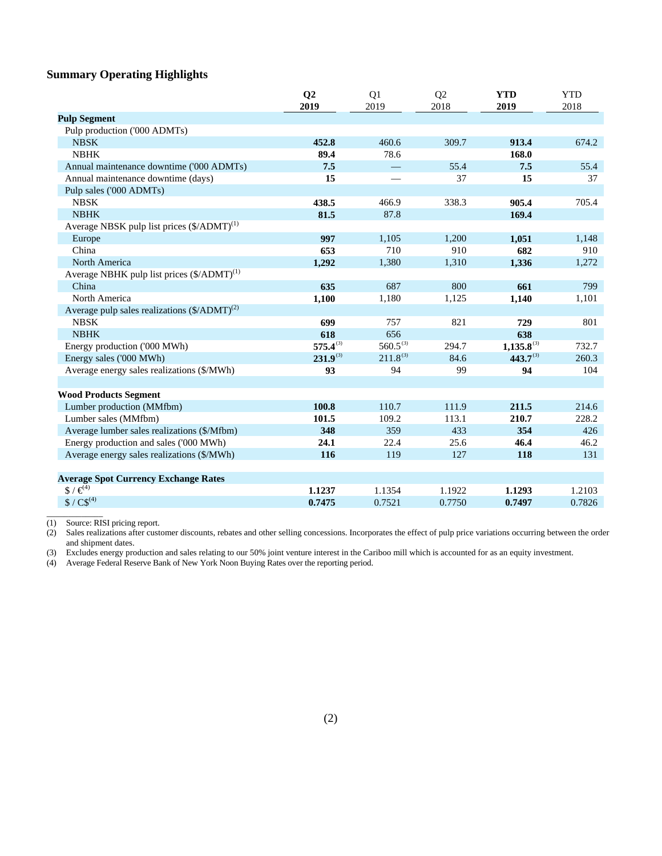# **Summary Operating Highlights**

|                                                          | Q <sub>2</sub><br>2019 | Q1<br>2019    | Q2<br>2018 | <b>YTD</b><br>2019 | <b>YTD</b><br>2018 |
|----------------------------------------------------------|------------------------|---------------|------------|--------------------|--------------------|
| <b>Pulp Segment</b>                                      |                        |               |            |                    |                    |
| Pulp production ('000 ADMTs)                             |                        |               |            |                    |                    |
| <b>NBSK</b>                                              | 452.8                  | 460.6         | 309.7      | 913.4              | 674.2              |
| <b>NBHK</b>                                              | 89.4                   | 78.6          |            | 168.0              |                    |
| Annual maintenance downtime ('000 ADMTs)                 | 7.5                    |               | 55.4       | 7.5                | 55.4               |
| Annual maintenance downtime (days)                       | 15                     |               | 37         | 15                 | 37                 |
| Pulp sales ('000 ADMTs)                                  |                        |               |            |                    |                    |
| <b>NBSK</b>                                              | 438.5                  | 466.9         | 338.3      | 905.4              | 705.4              |
| <b>NBHK</b>                                              | 81.5                   | 87.8          |            | 169.4              |                    |
| Average NBSK pulp list prices (\$/ADMT) <sup>(1)</sup>   |                        |               |            |                    |                    |
| Europe                                                   | 997                    | 1,105         | 1,200      | 1,051              | 1,148              |
| China                                                    | 653                    | 710           | 910        | 682                | 910                |
| <b>North America</b>                                     | 1,292                  | 1,380         | 1,310      | 1,336              | 1,272              |
| Average NBHK pulp list prices $(\frac{6}{ADMT})^{(1)}$   |                        |               |            |                    |                    |
| China                                                    | 635                    | 687           | 800        | 661                | 799                |
| North America                                            | 1,100                  | 1,180         | 1,125      | 1,140              | 1,101              |
| Average pulp sales realizations $(\frac{5}{ADMT})^{(2)}$ |                        |               |            |                    |                    |
| <b>NBSK</b>                                              | 699                    | 757           | 821        | 729                | 801                |
| <b>NBHK</b>                                              | 618                    | 656           |            | 638                |                    |
| Energy production ('000 MWh)                             | $575.4^{(3)}$          | $560.5^{(3)}$ | 294.7      | $1,135.8^{(3)}$    | 732.7              |
| Energy sales ('000 MWh)                                  | $231.9^{(3)}$          | $211.8^{(3)}$ | 84.6       | $443.7^{(3)}$      | 260.3              |
| Average energy sales realizations (\$/MWh)               | 93                     | 94            | 99         | 94                 | 104                |
| <b>Wood Products Segment</b>                             |                        |               |            |                    |                    |
| Lumber production (MMfbm)                                | 100.8                  | 110.7         | 111.9      | 211.5              | 214.6              |
| Lumber sales (MMfbm)                                     | 101.5                  | 109.2         | 113.1      | 210.7              | 228.2              |
| Average lumber sales realizations (\$/Mfbm)              | 348                    | 359           | 433        | 354                | 426                |
| Energy production and sales ('000 MWh)                   | 24.1                   | 22.4          | 25.6       | 46.4               | 46.2               |
| Average energy sales realizations (\$/MWh)               | 116                    | 119           | 127        | 118                | 131                |
| <b>Average Spot Currency Exchange Rates</b>              |                        |               |            |                    |                    |
| $\$\}/\mathcal{E}^{4}$                                   | 1.1237                 | 1.1354        | 1.1922     | 1.1293             | 1.2103             |
| $$ / CS^{(4)}$                                           | 0.7475                 | 0.7521        | 0.7750     | 0.7497             | 0.7826             |

(1) Source: RISI pricing report.

(2) Sales realizations after customer discounts, rebates and other selling concessions. Incorporates the effect of pulp price variations occurring between the order and shipment dates.

(3) Excludes energy production and sales relating to our 50% joint venture interest in the Cariboo mill which is accounted for as an equity investment.

(4) Average Federal Reserve Bank of New York Noon Buying Rates over the reporting period.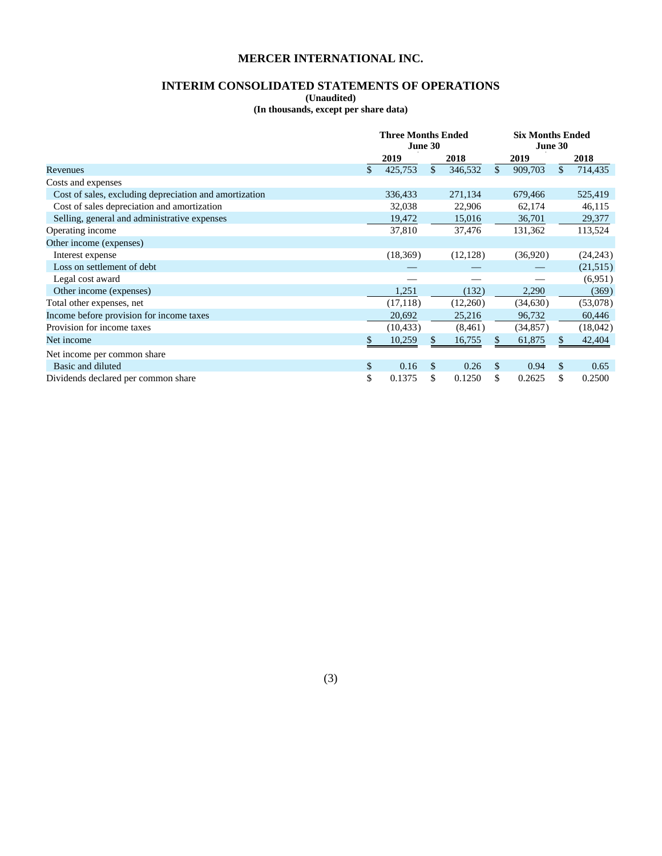# **INTERIM CONSOLIDATED STATEMENTS OF OPERATIONS**

**(Unaudited)** 

**(In thousands, except per share data)** 

|                                                        | <b>Three Months Ended</b> |    | <b>Six Months Ended</b> |         |           |      |           |  |
|--------------------------------------------------------|---------------------------|----|-------------------------|---------|-----------|------|-----------|--|
|                                                        | June 30                   |    |                         | June 30 |           |      |           |  |
|                                                        | 2019                      |    | 2018                    |         | 2019      | 2018 |           |  |
| Revenues                                               | \$<br>425,753             | \$ | 346,532                 | \$      | 909,703   | \$   | 714,435   |  |
| Costs and expenses                                     |                           |    |                         |         |           |      |           |  |
| Cost of sales, excluding depreciation and amortization | 336,433                   |    | 271,134                 |         | 679,466   |      | 525,419   |  |
| Cost of sales depreciation and amortization            | 32,038                    |    | 22,906                  |         | 62,174    |      | 46,115    |  |
| Selling, general and administrative expenses           | 19,472                    |    | 15,016                  |         | 36,701    |      | 29,377    |  |
| Operating income                                       | 37,810                    |    | 37,476                  |         | 131,362   |      | 113,524   |  |
| Other income (expenses)                                |                           |    |                         |         |           |      |           |  |
| Interest expense                                       | (18,369)                  |    | (12, 128)               |         | (36,920)  |      | (24, 243) |  |
| Loss on settlement of debt                             |                           |    |                         |         |           |      | (21, 515) |  |
| Legal cost award                                       |                           |    |                         |         |           |      | (6,951)   |  |
| Other income (expenses)                                | 1,251                     |    | (132)                   |         | 2,290     |      | (369)     |  |
| Total other expenses, net                              | (17, 118)                 |    | (12,260)                |         | (34,630)  |      | (53,078)  |  |
| Income before provision for income taxes               | 20,692                    |    | 25,216                  |         | 96,732    |      | 60,446    |  |
| Provision for income taxes                             | (10, 433)                 |    | (8,461)                 |         | (34, 857) |      | (18,042)  |  |
| Net income                                             | \$<br>10,259              | S  | 16,755                  | \$      | 61,875    |      | 42,404    |  |
| Net income per common share                            |                           |    |                         |         |           |      |           |  |
| Basic and diluted                                      | \$<br>0.16                | \$ | 0.26                    | \$      | 0.94      | \$   | 0.65      |  |
| Dividends declared per common share                    | \$<br>0.1375              | \$ | 0.1250                  | \$      | 0.2625    | \$   | 0.2500    |  |

(3)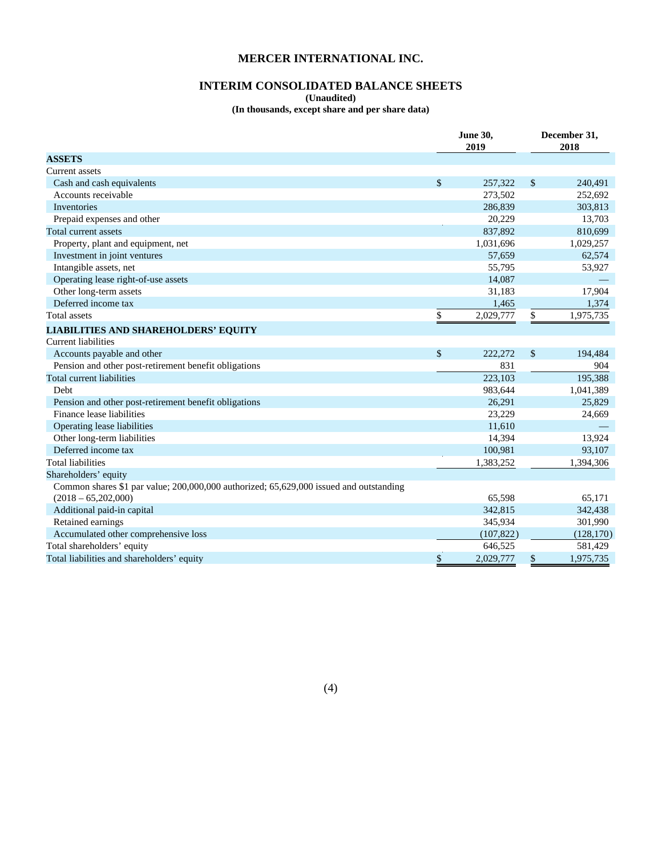# **INTERIM CONSOLIDATED BALANCE SHEETS**

**(Unaudited)** 

**(In thousands, except share and per share data)** 

|                                                                                        |              | <b>June 30,</b><br>2019 | December 31,<br>2018 |  |  |
|----------------------------------------------------------------------------------------|--------------|-------------------------|----------------------|--|--|
| <b>ASSETS</b>                                                                          |              |                         |                      |  |  |
| <b>Current</b> assets                                                                  |              |                         |                      |  |  |
| Cash and cash equivalents                                                              | $\mathbb{S}$ | 257.322                 | \$<br>240.491        |  |  |
| Accounts receivable                                                                    |              | 273,502                 | 252,692              |  |  |
| <b>Inventories</b>                                                                     |              | 286,839                 | 303,813              |  |  |
| Prepaid expenses and other                                                             |              | 20,229                  | 13,703               |  |  |
| Total current assets                                                                   |              | 837,892                 | 810,699              |  |  |
| Property, plant and equipment, net                                                     |              | 1,031,696               | 1,029,257            |  |  |
| Investment in joint ventures                                                           |              | 57,659                  | 62,574               |  |  |
| Intangible assets, net                                                                 |              | 55,795                  | 53,927               |  |  |
| Operating lease right-of-use assets                                                    |              | 14,087                  |                      |  |  |
| Other long-term assets                                                                 |              | 31,183                  | 17,904               |  |  |
| Deferred income tax                                                                    |              | 1,465                   | 1,374                |  |  |
| Total assets                                                                           | \$           | 2,029,777               | \$<br>1,975,735      |  |  |
| <b>LIABILITIES AND SHAREHOLDERS' EQUITY</b>                                            |              |                         |                      |  |  |
| Current liabilities                                                                    |              |                         |                      |  |  |
| Accounts payable and other                                                             | $\mathbb{S}$ | 222,272                 | \$<br>194,484        |  |  |
| Pension and other post-retirement benefit obligations                                  |              | 831                     | 904                  |  |  |
| Total current liabilities                                                              |              | 223,103                 | 195,388              |  |  |
| <b>Debt</b>                                                                            |              | 983,644                 | 1,041,389            |  |  |
| Pension and other post-retirement benefit obligations                                  |              | 26,291                  | 25,829               |  |  |
| Finance lease liabilities                                                              |              | 23,229                  | 24,669               |  |  |
| Operating lease liabilities                                                            |              | 11,610                  |                      |  |  |
| Other long-term liabilities                                                            |              | 14,394                  | 13,924               |  |  |
| Deferred income tax                                                                    |              | 100,981                 | 93,107               |  |  |
| <b>Total liabilities</b>                                                               |              | 1,383,252               | 1,394,306            |  |  |
| Shareholders' equity                                                                   |              |                         |                      |  |  |
| Common shares \$1 par value; 200,000,000 authorized; 65,629,000 issued and outstanding |              |                         |                      |  |  |
| $(2018 - 65,202,000)$                                                                  |              | 65,598                  | 65,171               |  |  |
| Additional paid-in capital                                                             |              | 342,815                 | 342,438              |  |  |
| Retained earnings                                                                      |              | 345,934                 | 301,990              |  |  |
| Accumulated other comprehensive loss                                                   |              | (107, 822)              | (128, 170)           |  |  |
| Total shareholders' equity                                                             |              | 646.525                 | 581,429              |  |  |
| Total liabilities and shareholders' equity                                             | \$           | 2,029,777               | \$<br>1,975,735      |  |  |

(4)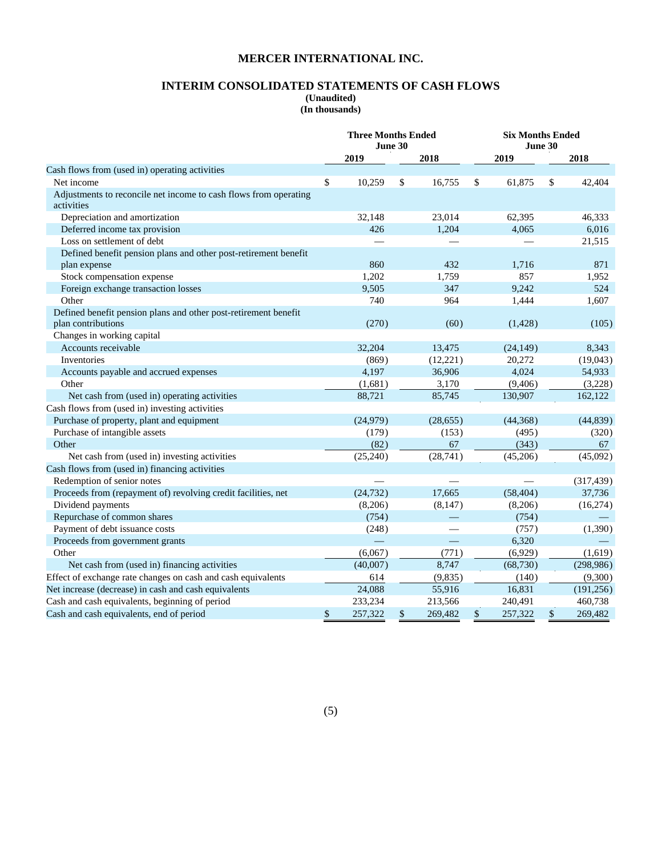# **INTERIM CONSOLIDATED STATEMENTS OF CASH FLOWS**

**(Unaudited)** 

**(In thousands)** 

|                                                                                       | <b>Three Months Ended</b><br>June 30 |      |           | <b>Six Months Ended</b><br>June 30 |           |    |            |  |
|---------------------------------------------------------------------------------------|--------------------------------------|------|-----------|------------------------------------|-----------|----|------------|--|
|                                                                                       | 2019                                 | 2018 |           |                                    | 2019      |    |            |  |
| Cash flows from (used in) operating activities                                        |                                      |      |           |                                    |           |    |            |  |
| Net income                                                                            | \$<br>10,259                         | \$   | 16,755    | \$                                 | 61,875    | \$ | 42,404     |  |
| Adjustments to reconcile net income to cash flows from operating<br>activities        |                                      |      |           |                                    |           |    |            |  |
| Depreciation and amortization                                                         | 32,148                               |      | 23,014    |                                    | 62,395    |    | 46,333     |  |
| Deferred income tax provision                                                         | 426                                  |      | 1,204     |                                    | 4,065     |    | 6,016      |  |
| Loss on settlement of debt                                                            |                                      |      |           |                                    |           |    | 21,515     |  |
| Defined benefit pension plans and other post-retirement benefit                       |                                      |      |           |                                    |           |    |            |  |
| plan expense                                                                          | 860                                  |      | 432       |                                    | 1,716     |    | 871        |  |
| Stock compensation expense                                                            | 1,202                                |      | 1,759     |                                    | 857       |    | 1,952      |  |
| Foreign exchange transaction losses                                                   | 9,505                                |      | 347       |                                    | 9,242     |    | 524        |  |
| Other                                                                                 | 740                                  |      | 964       |                                    | 1,444     |    | 1,607      |  |
| Defined benefit pension plans and other post-retirement benefit<br>plan contributions | (270)                                |      | (60)      |                                    | (1, 428)  |    | (105)      |  |
| Changes in working capital                                                            |                                      |      |           |                                    |           |    |            |  |
| Accounts receivable                                                                   | 32,204                               |      | 13,475    |                                    | (24, 149) |    | 8,343      |  |
| Inventories                                                                           | (869)                                |      | (12, 221) |                                    | 20,272    |    | (19,043)   |  |
| Accounts payable and accrued expenses                                                 | 4,197                                |      | 36,906    |                                    | 4,024     |    | 54,933     |  |
| Other                                                                                 | (1,681)                              |      | 3,170     |                                    | (9, 406)  |    | (3,228)    |  |
| Net cash from (used in) operating activities                                          | 88,721                               |      | 85,745    |                                    | 130,907   |    | 162,122    |  |
| Cash flows from (used in) investing activities                                        |                                      |      |           |                                    |           |    |            |  |
| Purchase of property, plant and equipment                                             | (24,979)                             |      | (28, 655) |                                    | (44,368)  |    | (44, 839)  |  |
| Purchase of intangible assets                                                         | (179)                                |      | (153)     |                                    | (495)     |    | (320)      |  |
| Other                                                                                 | (82)                                 |      | 67        |                                    | (343)     |    | 67         |  |
| Net cash from (used in) investing activities                                          | (25,240)                             |      | (28, 741) |                                    | (45,206)  |    | (45,092)   |  |
| Cash flows from (used in) financing activities                                        |                                      |      |           |                                    |           |    |            |  |
| Redemption of senior notes                                                            |                                      |      |           |                                    |           |    | (317, 439) |  |
| Proceeds from (repayment of) revolving credit facilities, net                         | (24, 732)                            |      | 17,665    |                                    | (58, 404) |    | 37,736     |  |
| Dividend payments                                                                     | (8,206)                              |      | (8,147)   |                                    | (8,206)   |    | (16,274)   |  |
| Repurchase of common shares                                                           | (754)                                |      |           |                                    | (754)     |    |            |  |
| Payment of debt issuance costs                                                        | (248)                                |      |           |                                    | (757)     |    | (1,390)    |  |
| Proceeds from government grants                                                       |                                      |      |           |                                    | 6,320     |    |            |  |
| Other                                                                                 | (6,067)                              |      | (771)     |                                    | (6,929)   |    | (1,619)    |  |
| Net cash from (used in) financing activities                                          | (40,007)                             |      | 8,747     |                                    | (68, 730) |    | (298, 986) |  |
| Effect of exchange rate changes on cash and cash equivalents                          | 614                                  |      | (9,835)   |                                    | (140)     |    | (9,300)    |  |
| Net increase (decrease) in cash and cash equivalents                                  | 24,088                               |      | 55,916    |                                    | 16,831    |    | (191, 256) |  |
| Cash and cash equivalents, beginning of period                                        | 233,234                              |      | 213,566   |                                    | 240,491   |    | 460,738    |  |
| Cash and cash equivalents, end of period                                              | \$<br>257,322                        | \$   | 269,482   | \$                                 | 257,322   | \$ | 269,482    |  |